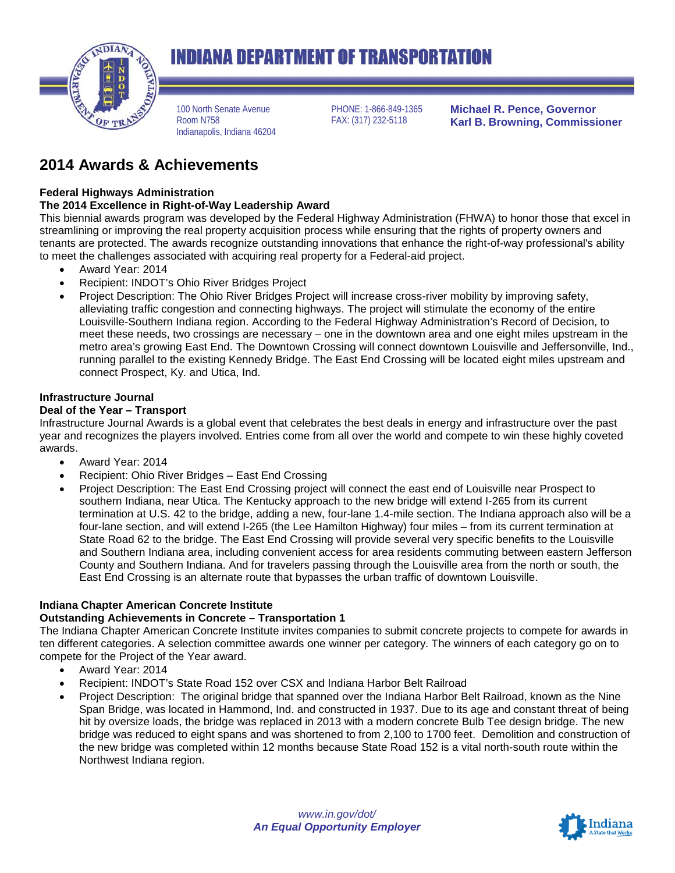

# **INDIANA DEPARTMENT OF TRANSPORTATION**

100 North Senate Avenue Room N758 Indianapolis, Indiana 46204 PHONE: 1-866-849-1365 FAX: (317) 232-5118

**Michael R. Pence, Governor Karl B. Browning, Commissioner**

# **2014 Awards & Achievements**

#### **Federal Highways Administration**

#### **The 2014 Excellence in Right-of-Way Leadership Award**

This biennial awards program was developed by the Federal Highway Administration (FHWA) to honor those that excel in streamlining or improving the real property acquisition process while ensuring that the rights of property owners and tenants are protected. The awards recognize outstanding innovations that enhance the right-of-way professional's ability to meet the challenges associated with acquiring real property for a Federal-aid project.

- Award Year: 2014
- Recipient: INDOT's Ohio River Bridges Project
- Project Description: The Ohio River Bridges Project will increase cross-river mobility by improving safety, alleviating traffic congestion and connecting highways. The project will stimulate the economy of the entire Louisville-Southern Indiana region. According to the Federal Highway Administration's Record of Decision, to meet these needs, two crossings are necessary – one in the downtown area and one eight miles upstream in the metro area's growing East End. The Downtown Crossing will connect downtown Louisville and Jeffersonville, Ind., running parallel to the existing Kennedy Bridge. The East End Crossing will be located eight miles upstream and connect Prospect, Ky. and Utica, Ind.

#### **Infrastructure Journal**

#### **Deal of the Year – Transport**

Infrastructure Journal Awards is a global event that celebrates the best deals in energy and infrastructure over the past year and recognizes the players involved. Entries come from all over the world and compete to win these highly coveted awards.

- Award Year: 2014
- Recipient: Ohio River Bridges East End Crossing
- Project Description: The East End Crossing project will connect the east end of Louisville near Prospect to southern Indiana, near Utica. The Kentucky approach to the new bridge will extend I-265 from its current termination at U.S. 42 to the bridge, adding a new, four-lane 1.4-mile section. The Indiana approach also will be a four-lane section, and will extend I-265 (the Lee Hamilton Highway) four miles – from its current termination at State Road 62 to the bridge. The East End Crossing will provide several very specific benefits to the Louisville and Southern Indiana area, including convenient access for area residents commuting between eastern Jefferson County and Southern Indiana. And for travelers passing through the Louisville area from the north or south, the East End Crossing is an alternate route that bypasses the urban traffic of downtown Louisville.

#### **Indiana Chapter American Concrete Institute**

#### **Outstanding Achievements in Concrete – Transportation 1**

The Indiana Chapter American Concrete Institute invites companies to submit concrete projects to compete for awards in ten different categories. A selection committee awards one winner per category. The winners of each category go on to compete for the Project of the Year award.

- Award Year: 2014
- Recipient: INDOT's State Road 152 over CSX and Indiana Harbor Belt Railroad
- Project Description: The original bridge that spanned over the Indiana Harbor Belt Railroad, known as the Nine Span Bridge, was located in Hammond, Ind. and constructed in 1937. Due to its age and constant threat of being hit by oversize loads, the bridge was replaced in 2013 with a modern concrete Bulb Tee design bridge. The new bridge was reduced to eight spans and was shortened to from 2,100 to 1700 feet. Demolition and construction of the new bridge was completed within 12 months because State Road 152 is a vital north-south route within the Northwest Indiana region.

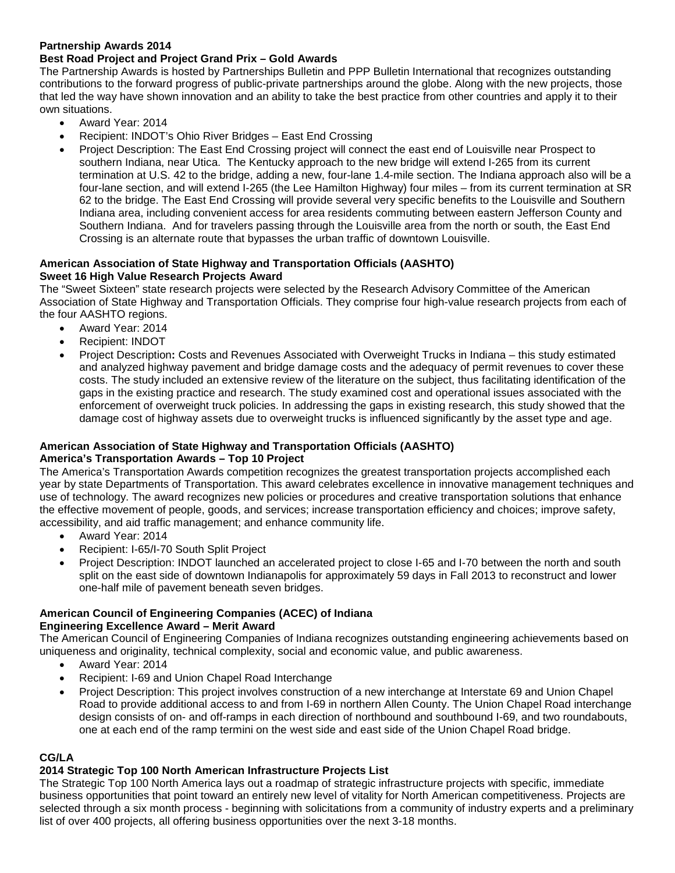#### **Partnership Awards 2014**

## **Best Road Project and Project Grand Prix – Gold Awards**

The Partnership Awards is hosted by Partnerships Bulletin and PPP Bulletin International that recognizes outstanding contributions to the forward progress of public-private partnerships around the globe. Along with the new projects, those that led the way have shown innovation and an ability to take the best practice from other countries and apply it to their own situations.

- Award Year: 2014
- Recipient: INDOT's Ohio River Bridges East End Crossing
- Project Description: The East End Crossing project will connect the east end of Louisville near Prospect to southern Indiana, near Utica. The Kentucky approach to the new bridge will extend I-265 from its current termination at U.S. 42 to the bridge, adding a new, four-lane 1.4-mile section. The Indiana approach also will be a four-lane section, and will extend I-265 (the Lee Hamilton Highway) four miles – from its current termination at SR 62 to the bridge. The East End Crossing will provide several very specific benefits to the Louisville and Southern Indiana area, including convenient access for area residents commuting between eastern Jefferson County and Southern Indiana. And for travelers passing through the Louisville area from the north or south, the East End Crossing is an alternate route that bypasses the urban traffic of downtown Louisville.

#### **American Association of State Highway and Transportation Officials (AASHTO) Sweet 16 High Value Research Projects Award**

The "Sweet Sixteen" state research projects were selected by the Research Advisory Committee of the American Association of State Highway and Transportation Officials. They comprise four high-value research projects from each of the four AASHTO regions.

- Award Year: 2014
- Recipient: INDOT
- Project Description**:** Costs and Revenues Associated with Overweight Trucks in Indiana this study estimated and analyzed highway pavement and bridge damage costs and the adequacy of permit revenues to cover these costs. The study included an extensive review of the literature on the subject, thus facilitating identification of the gaps in the existing practice and research. The study examined cost and operational issues associated with the enforcement of overweight truck policies. In addressing the gaps in existing research, this study showed that the damage cost of highway assets due to overweight trucks is influenced significantly by the asset type and age.

## **American Association of State Highway and Transportation Officials (AASHTO)**

#### **America's Transportation Awards – Top 10 Project**

The America's Transportation Awards competition recognizes the greatest transportation projects accomplished each year by state Departments of Transportation. This award celebrates excellence in innovative management techniques and use of technology. The award recognizes new policies or procedures and creative transportation solutions that enhance the effective movement of people, goods, and services; increase transportation efficiency and choices; improve safety, accessibility, and aid traffic management; and enhance community life.

- Award Year: 2014
- Recipient: I-65/I-70 South Split Project
- Project Description: INDOT launched an accelerated project to close I-65 and I-70 between the north and south split on the east side of downtown Indianapolis for approximately 59 days in Fall 2013 to reconstruct and lower one-half mile of pavement beneath seven bridges.

## **American Council of Engineering Companies (ACEC) of Indiana**

#### **Engineering Excellence Award – Merit Award**

The American Council of Engineering Companies of Indiana recognizes outstanding engineering achievements based on uniqueness and originality, technical complexity, social and economic value, and public awareness.

- Award Year: 2014
- Recipient: I-69 and Union Chapel Road Interchange
- Project Description: This project involves construction of a new interchange at Interstate 69 and Union Chapel Road to provide additional access to and from I-69 in northern Allen County. The Union Chapel Road interchange design consists of on- and off-ramps in each direction of northbound and southbound I-69, and two roundabouts, one at each end of the ramp termini on the west side and east side of the Union Chapel Road bridge.

#### **CG/LA**

## **2014 Strategic Top 100 North American Infrastructure Projects List**

The Strategic Top 100 North America lays out a roadmap of strategic infrastructure projects with specific, immediate business opportunities that point toward an entirely new level of vitality for North American competitiveness. Projects are selected through a six month process - beginning with solicitations from a community of industry experts and a preliminary list of over 400 projects, all offering business opportunities over the next 3-18 months.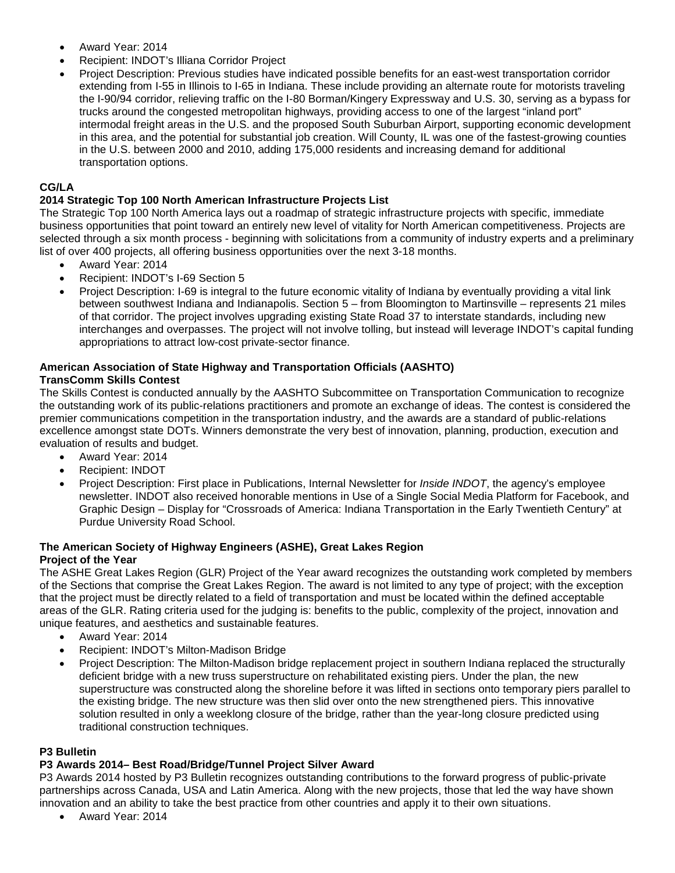- Award Year: 2014
- Recipient: INDOT's Illiana Corridor Project
- Project Description: Previous studies have indicated possible benefits for an east-west transportation corridor extending from I-55 in Illinois to I-65 in Indiana. These include providing an alternate route for motorists traveling the I-90/94 corridor, relieving traffic on the I-80 Borman/Kingery Expressway and U.S. 30, serving as a bypass for trucks around the congested metropolitan highways, providing access to one of the largest "inland port" intermodal freight areas in the U.S. and the proposed South Suburban Airport, supporting economic development in this area, and the potential for substantial job creation. Will County, IL was one of the fastest-growing counties in the U.S. between 2000 and 2010, adding 175,000 residents and increasing demand for additional transportation options.

#### **CG/LA**

#### **2014 Strategic Top 100 North American Infrastructure Projects List**

The Strategic Top 100 North America lays out a roadmap of strategic infrastructure projects with specific, immediate business opportunities that point toward an entirely new level of vitality for North American competitiveness. Projects are selected through a six month process - beginning with solicitations from a community of industry experts and a preliminary list of over 400 projects, all offering business opportunities over the next 3-18 months.

- Award Year: 2014
- Recipient: INDOT's I-69 Section 5
- Project Description: I-69 is integral to the future economic vitality of Indiana by eventually providing a vital link between southwest Indiana and Indianapolis. Section 5 – from Bloomington to Martinsville – represents 21 miles of that corridor. The project involves upgrading existing State Road 37 to interstate standards, including new interchanges and overpasses. The project will not involve tolling, but instead will leverage INDOT's capital funding appropriations to attract low-cost private-sector finance.

#### **American Association of State Highway and Transportation Officials (AASHTO) TransComm Skills Contest**

The Skills Contest is conducted annually by the AASHTO Subcommittee on Transportation Communication to recognize the outstanding work of its public-relations practitioners and promote an exchange of ideas. The contest is considered the premier communications competition in the transportation industry, and the awards are a standard of public-relations excellence amongst state DOTs. Winners demonstrate the very best of innovation, planning, production, execution and evaluation of results and budget.

- Award Year: 2014
- Recipient: INDOT
- Project Description: First place in Publications, Internal Newsletter for *Inside INDOT*, the agency's employee newsletter. INDOT also received honorable mentions in Use of a Single Social Media Platform for Facebook, and Graphic Design – Display for "Crossroads of America: Indiana Transportation in the Early Twentieth Century" at Purdue University Road School.

#### **The American Society of Highway Engineers (ASHE), Great Lakes Region Project of the Year**

The ASHE Great Lakes Region (GLR) Project of the Year award recognizes the outstanding work completed by members of the Sections that comprise the Great Lakes Region. The award is not limited to any type of project; with the exception that the project must be directly related to a field of transportation and must be located within the defined acceptable areas of the GLR. Rating criteria used for the judging is: benefits to the public, complexity of the project, innovation and unique features, and aesthetics and sustainable features.

- Award Year: 2014
- Recipient: INDOT's Milton-Madison Bridge
- Project Description: The Milton-Madison bridge replacement project in southern Indiana replaced the structurally deficient bridge with a new truss superstructure on rehabilitated existing piers. Under the plan, the new superstructure was constructed along the shoreline before it was lifted in sections onto temporary piers parallel to the existing bridge. The new structure was then slid over onto the new strengthened piers. This innovative solution resulted in only a weeklong closure of the bridge, rather than the year-long closure predicted using traditional construction techniques.

#### **P3 Bulletin**

#### **P3 Awards 2014– Best Road/Bridge/Tunnel Project Silver Award**

P3 Awards 2014 hosted by P3 Bulletin recognizes outstanding contributions to the forward progress of public-private partnerships across Canada, USA and Latin America. Along with the new projects, those that led the way have shown innovation and an ability to take the best practice from other countries and apply it to their own situations.

• Award Year: 2014